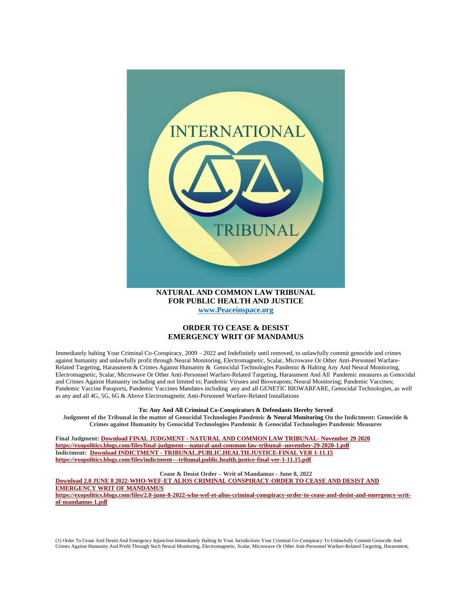

**[www.Peaceinspace.org](http://www.peaceinspace.org/)**

## **ORDER TO CEASE & DESIST EMERGENCY WRIT OF MANDAMUS**

Immediately halting Your Criminal Co-Conspiracy, 2009 – 2022 and Indefinitely until removed, to unlawfully commit genocide and crimes against humanity and unlawfully profit through Neural Monitoring, Electromagnetic, Scalar, Microwave Or Other Anti-Personnel Warfare-Related Targeting, Harassment & Crimes Against Humanity & Genocidal Technologies Pandemic & Halting Any And Neural Monitoring, Electromagnetic, Scalar, Microwave Or Other Anti-Personnel Warfare-Related Targeting, Harassment And All Pandemic measures as Genocidal and Crimes Against Humanity including and not limited to; Pandemic Viruses and Bioweapons; Neural Monitoring; Pandemic Vaccines; Pandemic Vaccine Passports, Pandemic Vaccines Mandates including any and all GENETIC BIOWARFARE, Genocidal Technologies, as well as any and all 4G, 5G, 6G & Above Electromagnetic Anti-Personnel Warfare-Related Installations

## **To: Any And All Criminal Co-Conspirators & Defendants Hereby Served**

**Judgment of the Tribunal in the matter of Genocidal Technologies Pandemic & Neural Monitoring On the Indictment: Genocide & Crimes against Humanity by Genocidal Technologies Pandemic & Genocidal Technologies Pandemic Measures**

**Final Judgment: Download FINAL JUDGMENT - [NATURAL AND COMMON LAW TRIBUNAL-](https://exopolitics.blogs.com/files/final-judgment---natural-and-common-law-tribunal--november-29-2020-1.pdf) November 29 2020 <https://exopolitics.blogs.com/files/final-judgment---natural-and-common-law-tribunal--november-29-2020-1.pdf> Indictment: Download INDICTMENT - [TRIBUNAL.PUBLIC.HEALTH.JUSTICE-FINAL VER 1-11.15](https://exopolitics.blogs.com/files/indictment---tribunal.public.health.justice-final-ver-1-11.15.pdf) <https://exopolitics.blogs.com/files/indictment---tribunal.public.health.justice-final-ver-1-11.15.pdf>**

**Cease & Desist Order – Writ of Mandamus - June 8, 2022**

**[Download 2.0 JUNE 8 2022-WHO-WEF-ET ALIOS CRIMINAL CONSPIRACY-ORDER TO CEASE AND DESIST AND](https://exopolitics.blogs.com/files/2.0-june-8-2022-who-wef-et-alios-criminal-conspiracy-order-to-cease-and-desist-and-emergency-writ-of-mandamus-1.pdf)  [EMERGENCY WRIT OF MANDAMUS](https://exopolitics.blogs.com/files/2.0-june-8-2022-who-wef-et-alios-criminal-conspiracy-order-to-cease-and-desist-and-emergency-writ-of-mandamus-1.pdf) [https://exopolitics.blogs.com/files/2.0-june-8-2022-who-wef-et-alios-criminal-conspiracy-order-to-cease-and-desist-and-emergency-writ-](https://exopolitics.blogs.com/files/2.0-june-8-2022-who-wef-et-alios-criminal-conspiracy-order-to-cease-and-desist-and-emergency-writ-of-mandamus-1.pdf)**

**[of-mandamus-1.pdf](https://exopolitics.blogs.com/files/2.0-june-8-2022-who-wef-et-alios-criminal-conspiracy-order-to-cease-and-desist-and-emergency-writ-of-mandamus-1.pdf)**

(1) Order To Cease And Desist And Emergency Injunction Immediately Halting In Your Jurisdictions Your Criminal Co-Conspiracy To Unlawfully Commit Genocide And Crimes Against Humanity And Profit Through Such Neural Monitoring, Electromagnetic, Scalar, Microwave Or Other Anti-Personnel Warfare-Related Targeting, Harassment,